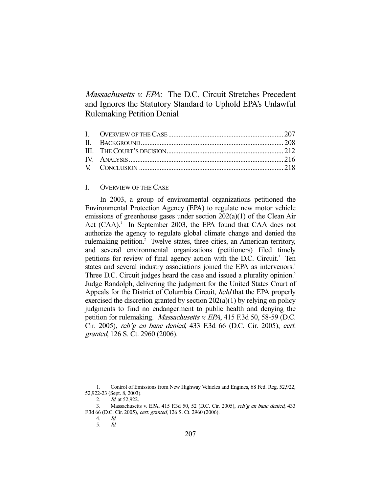Massachusetts v. EPA: The D.C. Circuit Stretches Precedent and Ignores the Statutory Standard to Uphold EPA's Unlawful Rulemaking Petition Denial

# I. OVERVIEW OF THE CASE

 In 2003, a group of environmental organizations petitioned the Environmental Protection Agency (EPA) to regulate new motor vehicle emissions of greenhouse gases under section 202(a)(1) of the Clean Air Act (CAA).<sup>1</sup> In September 2003, the EPA found that CAA does not authorize the agency to regulate global climate change and denied the rulemaking petition.<sup>2</sup> Twelve states, three cities, an American territory, and several environmental organizations (petitioners) filed timely petitions for review of final agency action with the D.C. Circuit.<sup>3</sup> Ten states and several industry associations joined the EPA as intervenors.<sup>4</sup> Three D.C. Circuit judges heard the case and issued a plurality opinion.<sup>5</sup> Judge Randolph, delivering the judgment for the United States Court of Appeals for the District of Columbia Circuit, held that the EPA properly exercised the discretion granted by section  $202(a)(1)$  by relying on policy judgments to find no endangerment to public health and denying the petition for rulemaking. *Massachusetts v. EPA*, 415 F.3d 50, 58-59 (D.C. Cir. 2005), reh'g en banc denied, 433 F.3d 66 (D.C. Cir. 2005), cert. granted, 126 S. Ct. 2960 (2006).

 <sup>1.</sup> Control of Emissions from New Highway Vehicles and Engines, 68 Fed. Reg. 52,922, 52,922-23 (Sept. 8, 2003).

 <sup>2.</sup> Id. at 52,922.

 <sup>3.</sup> Massachusetts v. EPA, 415 F.3d 50, 52 (D.C. Cir. 2005), reh'g en banc denied, 433 F.3d 66 (D.C. Cir. 2005), cert. granted, 126 S. Ct. 2960 (2006).

 <sup>4.</sup> Id. 5. Id.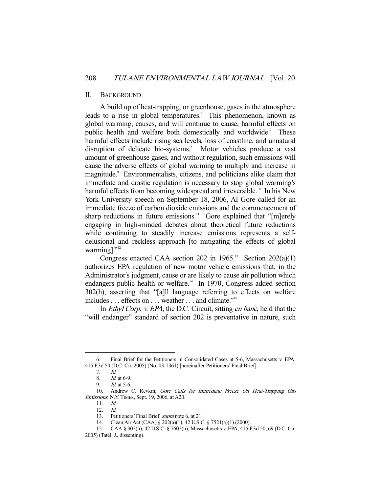## II. BACKGROUND

 A build up of heat-trapping, or greenhouse, gases in the atmosphere leads to a rise in global temperatures.<sup>6</sup> This phenomenon, known as global warming, causes, and will continue to cause, harmful effects on public health and welfare both domestically and worldwide.<sup>7</sup> These harmful effects include rising sea levels, loss of coastline, and unnatural disruption of delicate bio-systems.<sup>8</sup> Motor vehicles produce a vast amount of greenhouse gases, and without regulation, such emissions will cause the adverse effects of global warming to multiply and increase in magnitude.<sup>9</sup> Environmentalists, citizens, and politicians alike claim that immediate and drastic regulation is necessary to stop global warming's harmful effects from becoming widespread and irreversible.<sup>10</sup> In his New York University speech on September 18, 2006, Al Gore called for an immediate freeze of carbon dioxide emissions and the commencement of sharp reductions in future emissions.<sup>11</sup> Gore explained that "[m]erely engaging in high-minded debates about theoretical future reductions while continuing to steadily increase emissions represents a selfdelusional and reckless approach [to mitigating the effects of global warming]."<sup>12</sup>

Congress enacted CAA section 202 in  $1965$ .<sup>13</sup> Section 202(a)(1) authorizes EPA regulation of new motor vehicle emissions that, in the Administrator's judgment, cause or are likely to cause air pollution which endangers public health or welfare.<sup> $14$ </sup> In 1970, Congress added section 302(h), asserting that "[a]ll language referring to effects on welfare includes . . . effects on . . . weather . . . and climate."15

In *Ethyl Corp. v. EPA*, the D.C. Circuit, sitting *en banc*, held that the "will endanger" standard of section 202 is preventative in nature, such

 <sup>6.</sup> Final Brief for the Petitioners in Consolidated Cases at 5-6, Massachusetts v. EPA, 415 F.3d 50 (D.C. Cir. 2005) (No. 03-1361) [hereinafter Petitioners' Final Brief].

 <sup>7.</sup> Id.

 <sup>8.</sup> Id. at 6-9.

 <sup>9.</sup> Id. at 5-6.

<sup>10.</sup> Andrew C. Revkin, Gore Calls for Immediate Freeze On Heat-Trapping Gas Emissions, N.Y.TIMES, Sept. 19, 2006, at A20.

 <sup>11.</sup> Id.

 <sup>12.</sup> Id.

<sup>13.</sup> Petitioners' Final Brief, *supra* note 6, at 21.

 <sup>14.</sup> Clean Air Act (CAA) § 202(a)(1), 42 U.S.C. § 7521(a)(1) (2000).

 <sup>15.</sup> CAA § 302(h), 42 U.S.C. § 7602(h); Massachusetts v. EPA, 415 F.3d 50, 69 (D.C. Cir. 2005) (Tatel, J., dissenting).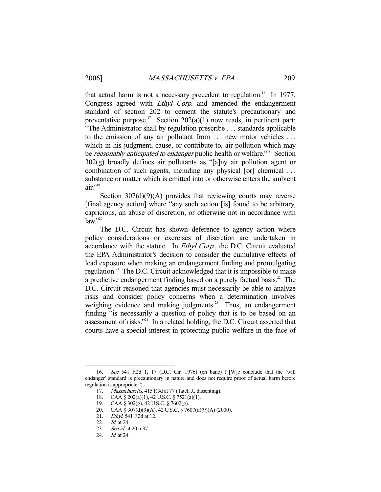that actual harm is not a necessary precedent to regulation.<sup>16</sup> In 1977, Congress agreed with *Ethyl Corp*. and amended the endangerment standard of section 202 to cement the statute's precautionary and preventative purpose.<sup>17</sup> Section  $202(a)(1)$  now reads, in pertinent part: "The Administrator shall by regulation prescribe . . . standards applicable to the emission of any air pollutant from . . . new motor vehicles . . . which in his judgment, cause, or contribute to, air pollution which may be *reasonably anticipated to endanger* public health or welfare."<sup>18</sup> Section  $302(g)$  broadly defines air pollutants as "[a]ny air pollution agent or combination of such agents, including any physical [or] chemical . . . substance or matter which is emitted into or otherwise enters the ambient  $air$ ."<sup>19</sup>

Section 307(d)(9)(A) provides that reviewing courts may reverse [final agency action] where "any such action [is] found to be arbitrary, capricious, an abuse of discretion, or otherwise not in accordance with  $law.$ <sup>20</sup>

 The D.C. Circuit has shown deference to agency action where policy considerations or exercises of discretion are undertaken in accordance with the statute. In Ethyl Corp., the D.C. Circuit evaluated the EPA Administrator's decision to consider the cumulative effects of lead exposure when making an endangerment finding and promulgating regulation.<sup>21</sup> The D.C. Circuit acknowledged that it is impossible to make a predictive endangerment finding based on a purely factual basis.<sup>22</sup> The D.C. Circuit reasoned that agencies must necessarily be able to analyze risks and consider policy concerns when a determination involves weighing evidence and making judgments.<sup>23</sup> Thus, an endangerment finding "is necessarily a question of policy that is to be based on an assessment of risks."24 In a related holding, the D.C. Circuit asserted that courts have a special interest in protecting public welfare in the face of

 <sup>16.</sup> See 541 F.2d 1, 17 (D.C. Cir. 1976) (en banc) ("[W]e conclude that the 'will endanger' standard is precautionary in nature and does not require proof of actual harm before regulation is appropriate.").

<sup>17.</sup> Massachusetts, 415 F.3d at 77 (Tatel, J., dissenting).

 <sup>18.</sup> CAA § 202(a)(1), 42 U.S.C. § 7521(a)(1).

 <sup>19.</sup> CAA § 302(g), 42 U.S.C. § 7602(g).

CAA § 307(d)(9)(A), 42 U.S.C. § 7607(d)(9)(A) (2000). 20. CAA § 307(d)(9)(A),<br>21. Ethyl, 541 F.2d at 12.

 <sup>22.</sup> Id. at 24.

 <sup>23.</sup> See id. at 20 n.37.

 <sup>24.</sup> Id. at 24.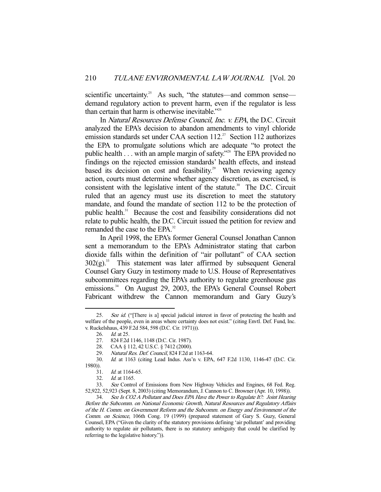scientific uncertainty.<sup>25</sup> As such, "the statutes—and common sense demand regulatory action to prevent harm, even if the regulator is less than certain that harm is otherwise inevitable."<sup>26</sup>

 In Natural Resources Defense Council, Inc. v. EPA, the D.C. Circuit analyzed the EPA's decision to abandon amendments to vinyl chloride emission standards set under CAA section  $112^{27}$  Section 112 authorizes the EPA to promulgate solutions which are adequate "to protect the public health . . . with an ample margin of safety."<sup>28</sup> The EPA provided no findings on the rejected emission standards' health effects, and instead based its decision on cost and feasibility.<sup>29</sup> When reviewing agency action, courts must determine whether agency discretion, as exercised, is consistent with the legislative intent of the statute.<sup>30</sup> The D.C. Circuit ruled that an agency must use its discretion to meet the statutory mandate, and found the mandate of section 112 to be the protection of public health.<sup>31</sup> Because the cost and feasibility considerations did not relate to public health, the D.C. Circuit issued the petition for review and remanded the case to the EPA.<sup>32</sup>

 In April 1998, the EPA's former General Counsel Jonathan Cannon sent a memorandum to the EPA's Administrator stating that carbon dioxide falls within the definition of "air pollutant" of CAA section  $302(g)$ .<sup>33</sup> This statement was later affirmed by subsequent General Counsel Gary Guzy in testimony made to U.S. House of Representatives subcommittees regarding the EPA's authority to regulate greenhouse gas emissions.<sup>34</sup> On August 29, 2003, the EPA's General Counsel Robert Fabricant withdrew the Cannon memorandum and Gary Guzy's

<sup>25.</sup> See id. ("There is a] special judicial interest in favor of protecting the health and welfare of the people, even in areas where certainty does not exist." (citing Envtl. Def. Fund, Inc. v. Ruckelshaus, 439 F.2d 584, 598 (D.C. Cir. 1971))).

<sup>26.</sup> *Id.* at 25.

 <sup>27. 824</sup> F.2d 1146, 1148 (D.C. Cir. 1987).

 <sup>28.</sup> CAA § 112, 42 U.S.C. § 7412 (2000).

 <sup>29.</sup> Natural Res. Def. Council, 824 F.2d at 1163-64.

 <sup>30.</sup> Id. at 1163 (citing Lead Indus. Ass'n v. EPA, 647 F.2d 1130, 1146-47 (D.C. Cir. 1980)).

 <sup>31.</sup> Id. at 1164-65.

 <sup>32.</sup> Id. at 1165.

 <sup>33.</sup> See Control of Emissions from New Highway Vehicles and Engines, 68 Fed. Reg. 52,922, 52,923 (Sept. 8, 2003) (citing Memorandum, J. Cannon to C. Browner (Apr. 10, 1998)).

 <sup>34.</sup> See Is CO2 A Pollutant and Does EPA Have the Power to Regulate It?: Joint Hearing Before the Subcomm. on National Economic Growth, Natural Resources and Regulatory Affairs of the H. Comm. on Government Reform and the Subcomm. on Energy and Environment of the Comm. on Science, 106th Cong. 19 (1999) (prepared statement of Gary S. Guzy, General Counsel, EPA ("Given the clarity of the statutory provisions defining 'air pollutant' and providing authority to regulate air pollutants, there is no statutory ambiguity that could be clarified by referring to the legislative history.")).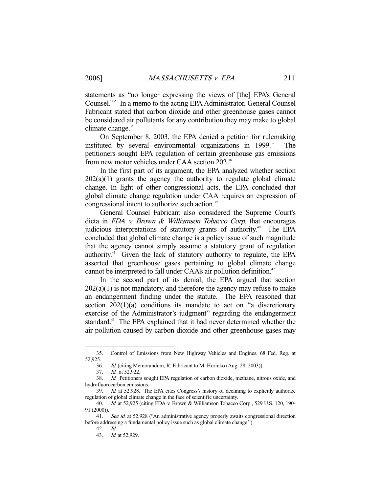statements as "no longer expressing the views of [the] EPA's General Counsel."35 In a memo to the acting EPA Administrator, General Counsel Fabricant stated that carbon dioxide and other greenhouse gases cannot be considered air pollutants for any contribution they may make to global climate change.<sup>36</sup>

 On September 8, 2003, the EPA denied a petition for rulemaking instituted by several environmental organizations in  $1999$ .<sup>37</sup> The petitioners sought EPA regulation of certain greenhouse gas emissions from new motor vehicles under CAA section 202.<sup>38</sup>

 In the first part of its argument, the EPA analyzed whether section  $202(a)(1)$  grants the agency the authority to regulate global climate change. In light of other congressional acts, the EPA concluded that global climate change regulation under CAA requires an expression of congressional intent to authorize such action.<sup>39</sup>

 General Counsel Fabricant also considered the Supreme Court's dicta in FDA v. Brown & Williamson Tobacco Corp. that encourages judicious interpretations of statutory grants of authority.<sup>40</sup> The EPA concluded that global climate change is a policy issue of such magnitude that the agency cannot simply assume a statutory grant of regulation authority.<sup>41</sup> Given the lack of statutory authority to regulate, the EPA asserted that greenhouse gases pertaining to global climate change cannot be interpreted to fall under CAA's air pollution definition.<sup>42</sup>

 In the second part of its denial, the EPA argued that section  $202(a)(1)$  is not mandatory, and therefore the agency may refuse to make an endangerment finding under the statute. The EPA reasoned that section  $202(1)(a)$  conditions its mandate to act on "a discretionary exercise of the Administrator's judgment" regarding the endangerment standard.<sup>43</sup> The EPA explained that it had never determined whether the air pollution caused by carbon dioxide and other greenhouse gases may

 <sup>35.</sup> Control of Emissions from New Highway Vehicles and Engines, 68 Fed. Reg. at 52,925.

 <sup>36.</sup> Id. (citing Memorandum, R. Fabricant to M. Horinko (Aug. 28, 2003)).

 <sup>37.</sup> Id.. at 52,922.

 <sup>38.</sup> Id. Petitioners sought EPA regulation of carbon dioxide, methane, nitrous oxide, and hydrofluorocarbon emissions.

 <sup>39.</sup> Id. at 52,928. The EPA cites Congress's history of declining to explicitly authorize regulation of global climate change in the face of scientific uncertainty.

 <sup>40.</sup> Id. at 52,925 (citing FDA v. Brown & Williamson Tobacco Corp., 529 U.S. 120, 190- 91 (2000)).

<sup>41.</sup> See id. at 52,928 ("An administrative agency properly awaits congressional direction before addressing a fundamental policy issue such as global climate change.").

 <sup>42.</sup> Id.

 <sup>43.</sup> Id. at 52,929.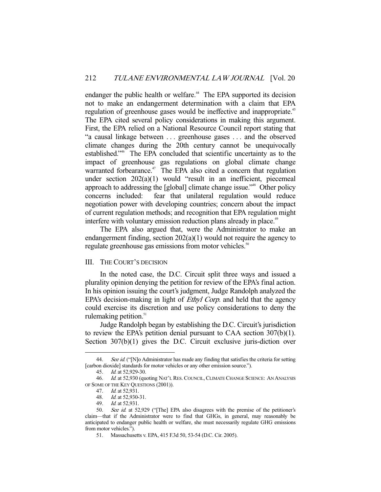endanger the public health or welfare.<sup>44</sup> The EPA supported its decision not to make an endangerment determination with a claim that EPA regulation of greenhouse gases would be ineffective and inappropriate.<sup>45</sup> The EPA cited several policy considerations in making this argument. First, the EPA relied on a National Resource Council report stating that "a causal linkage between . . . greenhouse gases . . . and the observed climate changes during the 20th century cannot be unequivocally established."46 The EPA concluded that scientific uncertainty as to the impact of greenhouse gas regulations on global climate change warranted forbearance.<sup>47</sup> The EPA also cited a concern that regulation under section 202(a)(1) would "result in an inefficient, piecemeal approach to addressing the [global] climate change issue."48 Other policy concerns included: fear that unilateral regulation would reduce negotiation power with developing countries; concern about the impact of current regulation methods; and recognition that EPA regulation might interfere with voluntary emission reduction plans already in place.<sup>49</sup>

 The EPA also argued that, were the Administrator to make an endangerment finding, section 202(a)(1) would not require the agency to regulate greenhouse gas emissions from motor vehicles.<sup>50</sup>

## III. THE COURT'S DECISION

 In the noted case, the D.C. Circuit split three ways and issued a plurality opinion denying the petition for review of the EPA's final action. In his opinion issuing the court's judgment, Judge Randolph analyzed the EPA's decision-making in light of *Ethyl Corp*. and held that the agency could exercise its discretion and use policy considerations to deny the rulemaking petition. $51$ 

 Judge Randolph began by establishing the D.C. Circuit's jurisdiction to review the EPA's petition denial pursuant to CAA section 307(b)(1). Section 307(b)(1) gives the D.C. Circuit exclusive juris-diction over

<sup>44.</sup> See id. ("[N]o Administrator has made any finding that satisfies the criteria for setting [carbon dioxide] standards for motor vehicles or any other emission source.").

 <sup>45.</sup> Id. at 52,929-30.

<sup>46.</sup> Id. at 52,930 (quoting NAT'L RES. COUNCIL, CLIMATE CHANGE SCIENCE: AN ANALYSIS OF SOME OF THE KEY QUESTIONS (2001)).

 <sup>47.</sup> Id. at 52,931.

 <sup>48.</sup> Id. at 52,930-31.

 <sup>49.</sup> Id. at 52,931.

 <sup>50.</sup> See id. at 52,929 ("[The] EPA also disagrees with the premise of the petitioner's claim—that if the Administrator were to find that GHGs, in general, may reasonably be anticipated to endanger public health or welfare, she must necessarily regulate GHG emissions from motor vehicles.").

 <sup>51.</sup> Massachusetts v. EPA, 415 F.3d 50, 53-54 (D.C. Cir. 2005).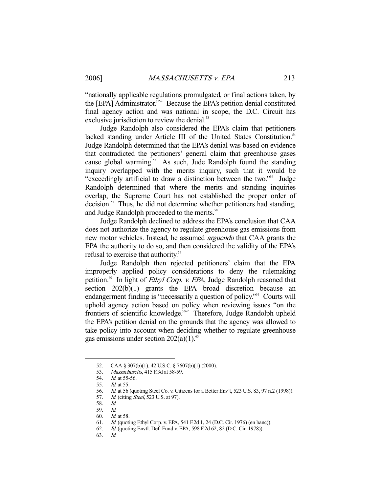"nationally applicable regulations promulgated, or final actions taken, by the [EPA] Administrator."52 Because the EPA's petition denial constituted final agency action and was national in scope, the D.C. Circuit has exclusive jurisdiction to review the denial.<sup>53</sup>

 Judge Randolph also considered the EPA's claim that petitioners lacked standing under Article III of the United States Constitution.<sup>54</sup> Judge Randolph determined that the EPA's denial was based on evidence that contradicted the petitioners' general claim that greenhouse gases cause global warming.<sup>55</sup> As such, Jude Randolph found the standing inquiry overlapped with the merits inquiry, such that it would be "exceedingly artificial to draw a distinction between the two."56 Judge Randolph determined that where the merits and standing inquiries overlap, the Supreme Court has not established the proper order of decision.<sup>57</sup> Thus, he did not determine whether petitioners had standing, and Judge Randolph proceeded to the merits.<sup>58</sup>

 Judge Randolph declined to address the EPA's conclusion that CAA does not authorize the agency to regulate greenhouse gas emissions from new motor vehicles. Instead, he assumed arguendo that CAA grants the EPA the authority to do so, and then considered the validity of the EPA's refusal to exercise that authority.<sup>59</sup>

 Judge Randolph then rejected petitioners' claim that the EPA improperly applied policy considerations to deny the rulemaking petition.<sup>60</sup> In light of *Ethyl Corp. v. EPA*, Judge Randolph reasoned that section 202(b)(1) grants the EPA broad discretion because an endangerment finding is "necessarily a question of policy."<sup>61</sup> Courts will uphold agency action based on policy when reviewing issues "on the frontiers of scientific knowledge."62 Therefore, Judge Randolph upheld the EPA's petition denial on the grounds that the agency was allowed to take policy into account when deciding whether to regulate greenhouse gas emissions under section  $202(a)(1)$ .<sup>63</sup>

-

60. Id. at 58.

63. Id.

 <sup>52.</sup> CAA § 307(b)(1), 42 U.S.C. § 7607(b)(1) (2000).

<sup>53.</sup> Massachusetts, 415 F.3d at 58-59.

 <sup>54.</sup> Id. at 55-56.

 <sup>55.</sup> Id. at 55.

<sup>56.</sup> *Id.* at 56 (quoting Steel Co. v. Citizens for a Better Env't, 523 U.S. 83, 97 n.2 (1998)). 57. *Id.* (citing *Steel*, 523 U.S. at 97).

Id. (citing Steel, 523 U.S. at 97).

 <sup>58.</sup> Id.

 <sup>59.</sup> Id.

 <sup>61.</sup> Id. (quoting Ethyl Corp. v. EPA, 541 F.2d 1, 24 (D.C. Cir. 1976) (en banc)).

 <sup>62.</sup> Id. (quoting Envtl. Def. Fund v. EPA, 598 F.2d 62, 82 (D.C. Cir. 1978)).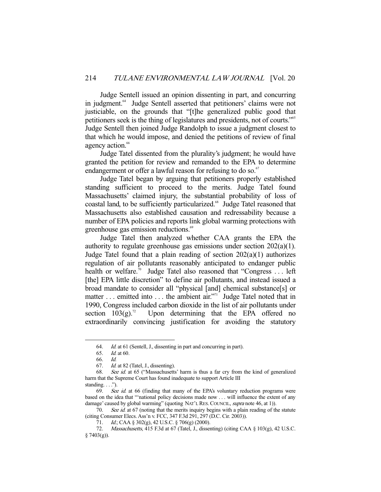Judge Sentell issued an opinion dissenting in part, and concurring in judgment.<sup>64</sup> Judge Sentell asserted that petitioners' claims were not justiciable, on the grounds that "[t]he generalized public good that petitioners seek is the thing of legislatures and presidents, not of courts."<sup>65</sup> Judge Sentell then joined Judge Randolph to issue a judgment closest to that which he would impose, and denied the petitions of review of final agency action.<sup>66</sup>

 Judge Tatel dissented from the plurality's judgment; he would have granted the petition for review and remanded to the EPA to determine endangerment or offer a lawful reason for refusing to do so.<sup>67</sup>

 Judge Tatel began by arguing that petitioners properly established standing sufficient to proceed to the merits. Judge Tatel found Massachusetts' claimed injury, the substantial probability of loss of coastal land, to be sufficiently particularized.<sup>68</sup> Judge Tatel reasoned that Massachusetts also established causation and redressability because a number of EPA policies and reports link global warming protections with greenhouse gas emission reductions.<sup>69</sup>

 Judge Tatel then analyzed whether CAA grants the EPA the authority to regulate greenhouse gas emissions under section 202(a)(1). Judge Tatel found that a plain reading of section  $202(a)(1)$  authorizes regulation of air pollutants reasonably anticipated to endanger public health or welfare.<sup>70</sup> Judge Tatel also reasoned that "Congress  $\dots$  left [the] EPA little discretion" to define air pollutants, and instead issued a broad mandate to consider all "physical [and] chemical substance[s] or matter  $\dots$  emitted into  $\dots$  the ambient air."<sup>71</sup> Judge Tatel noted that in 1990, Congress included carbon dioxide in the list of air pollutants under section  $103(g)$ .<sup>72</sup> Upon determining that the EPA offered no extraordinarily convincing justification for avoiding the statutory

 <sup>64.</sup> Id. at 61 (Sentell, J., dissenting in part and concurring in part).

 <sup>65.</sup> Id. at 60.

 <sup>66.</sup> Id.

 <sup>67.</sup> Id. at 82 (Tatel, J., dissenting).

 <sup>68.</sup> See id. at 65 ("Massachusetts' harm is thus a far cry from the kind of generalized harm that the Supreme Court has found inadequate to support Article III standing.  $\ldots$ .").

 <sup>69.</sup> See id. at 66 (finding that many of the EPA's voluntary reduction programs were based on the idea that "'national policy decisions made now . . . will influence the extent of any damage' caused by global warming" (quoting NAT'L RES. COUNCIL, supra note 46, at 1)).

<sup>70.</sup> See id. at 67 (noting that the merits inquiry begins with a plain reading of the statute (citing Consumer Elecs. Ass'n v. FCC, 347 F.3d 291, 297 (D.C. Cir. 2003)).

<sup>71.</sup> *Id.*; CAA § 302(g), 42 U.S.C. § 706(g) (2000).

<sup>72.</sup> Massachusetts, 415 F.3d at 67 (Tatel, J., dissenting) (citing CAA § 103(g), 42 U.S.C.  $§ 7403(g)$ ).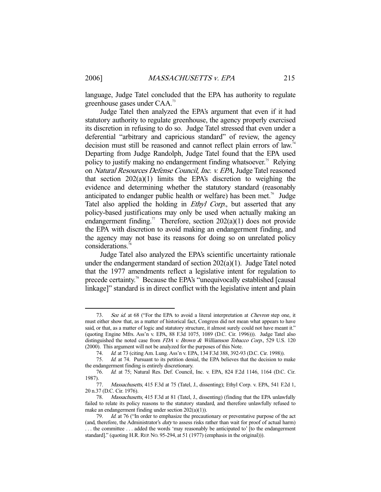language, Judge Tatel concluded that the EPA has authority to regulate greenhouse gases under CAA.73

 Judge Tatel then analyzed the EPA's argument that even if it had statutory authority to regulate greenhouse, the agency properly exercised its discretion in refusing to do so. Judge Tatel stressed that even under a deferential "arbitrary and capricious standard" of review, the agency decision must still be reasoned and cannot reflect plain errors of law.<sup>74</sup> Departing from Judge Randolph, Judge Tatel found that the EPA used policy to justify making no endangerment finding whatsoever.<sup>75</sup> Relying on Natural Resources Defense Council, Inc. v. EPA, Judge Tatel reasoned that section 202(a)(1) limits the EPA's discretion to weighing the evidence and determining whether the statutory standard (reasonably anticipated to endanger public health or welfare) has been met.<sup>76</sup> Judge Tatel also applied the holding in *Ethyl Corp.*, but asserted that any policy-based justifications may only be used when actually making an endangerment finding.<sup>77</sup> Therefore, section  $202(a)(1)$  does not provide the EPA with discretion to avoid making an endangerment finding, and the agency may not base its reasons for doing so on unrelated policy considerations.78

 Judge Tatel also analyzed the EPA's scientific uncertainty rationale under the endangerment standard of section 202(a)(1). Judge Tatel noted that the 1977 amendments reflect a legislative intent for regulation to precede certainty.79 Because the EPA's "unequivocally established [causal linkage]" standard is in direct conflict with the legislative intent and plain

<sup>73.</sup> See id. at 68 ("For the EPA to avoid a literal interpretation at *Chevron* step one, it must either show that, as a matter of historical fact, Congress did not mean what appears to have said, or that, as a matter of logic and statutory structure, it almost surely could not have meant it." (quoting Engine Mfrs. Ass'n v. EPA, 88 F.3d 1075, 1089 (D.C. Cir. 1996))). Judge Tatel also distinguished the noted case from FDA v. Brown & Williamson Tobacco Corp., 529 U.S. 120 (2000). This argument will not be analyzed for the purposes of this Note.

<sup>74.</sup> *Id.* at 73 (citing Am. Lung. Ass'n v. EPA, 134 F.3d 388, 392-93 (D.C. Cir. 1998)).

 <sup>75.</sup> Id. at 74. Pursuant to its petition denial, the EPA believes that the decision to make the endangerment finding is entirely discretionary.

 <sup>76.</sup> Id. at 75; Natural Res. Def. Council, Inc. v. EPA, 824 F.2d 1146, 1164 (D.C. Cir. 1987).

<sup>77.</sup> Massachusetts, 415 F.3d at 75 (Tatel, J., dissenting); Ethyl Corp. v. EPA, 541 F.2d 1, 20 n.37 (D.C. Cir. 1976).

 <sup>78.</sup> Massachusetts, 415 F.3d at 81 (Tatel, J., dissenting) (finding that the EPA unlawfully failed to relate its policy reasons to the statutory standard, and therefore unlawfully refused to make an endangerment finding under section 202(a)(1)).

<sup>79.</sup> *Id.* at 76 ("In order to emphasize the precautionary or preventative purpose of the act (and, therefore, the Administrator's duty to assess risks rather than wait for proof of actual harm) . . . the committee . . . added the words 'may reasonably be anticipated to' [to the endangerment standard]." (quoting H.R. REP. No. 95-294, at 51 (1977) (emphasis in the original))).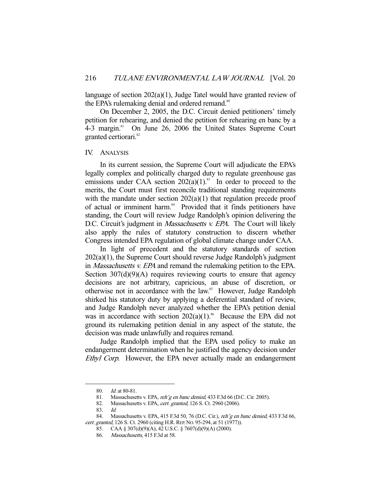language of section 202(a)(1), Judge Tatel would have granted review of the EPA's rulemaking denial and ordered remand.<sup>80</sup>

 On December 2, 2005, the D.C. Circuit denied petitioners' timely petition for rehearing, and denied the petition for rehearing en banc by a 4-3 margin.<sup>81</sup> On June 26, 2006 the United States Supreme Court granted certiorari.<sup>82</sup>

#### IV. ANALYSIS

 In its current session, the Supreme Court will adjudicate the EPA's legally complex and politically charged duty to regulate greenhouse gas emissions under CAA section  $202(a)(1)$ .<sup>83</sup> In order to proceed to the merits, the Court must first reconcile traditional standing requirements with the mandate under section  $202(a)(1)$  that regulation precede proof of actual or imminent harm.<sup>84</sup> Provided that it finds petitioners have standing, the Court will review Judge Randolph's opinion delivering the D.C. Circuit's judgment in *Massachusetts v. EPA*. The Court will likely also apply the rules of statutory construction to discern whether Congress intended EPA regulation of global climate change under CAA.

 In light of precedent and the statutory standards of section 202(a)(1), the Supreme Court should reverse Judge Randolph's judgment in *Massachusetts v. EPA* and remand the rulemaking petition to the EPA. Section  $307(d)(9)(A)$  requires reviewing courts to ensure that agency decisions are not arbitrary, capricious, an abuse of discretion, or otherwise not in accordance with the law.<sup>85</sup> However, Judge Randolph shirked his statutory duty by applying a deferential standard of review, and Judge Randolph never analyzed whether the EPA's petition denial was in accordance with section  $202(a)(1)$ .<sup>86</sup> Because the EPA did not ground its rulemaking petition denial in any aspect of the statute, the decision was made unlawfully and requires remand.

 Judge Randolph implied that the EPA used policy to make an endangerment determination when he justified the agency decision under Ethyl Corp. However, the EPA never actually made an endangerment

<sup>80.</sup> *Id.* at 80-81.

<sup>81.</sup> Massachusetts v. EPA, reh'g en banc denied, 433 F.3d 66 (D.C. Cir. 2005).

<sup>82.</sup> Massachusetts v. EPA, cert. granted, 126 S. Ct. 2960 (2006).

 <sup>83.</sup> Id.

<sup>84.</sup> Massachusetts v. EPA, 415 F.3d 50, 76 (D.C. Cir.), reh'g en banc denied, 433 F.3d 66,

cert. granted, 126 S. Ct. 2960 (citing H.R. REP. No. 95-294, at 51 (1977)).

 <sup>85.</sup> CAA § 307(d)(9)(A), 42 U.S.C. § 7607(d)(9)(A) (2000).

<sup>86.</sup> Massachusetts, 415 F.3d at 58.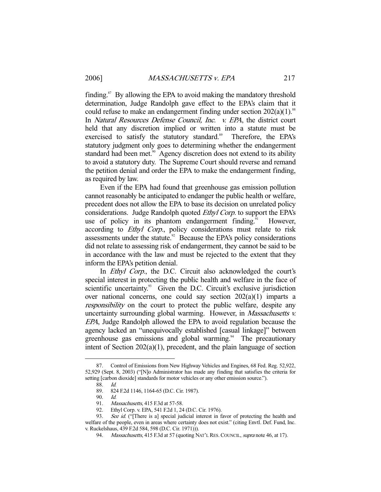finding. $87$  By allowing the EPA to avoid making the mandatory threshold determination, Judge Randolph gave effect to the EPA's claim that it could refuse to make an endangerment finding under section  $202(a)(1)$ .<sup>88</sup> In *Natural Resources Defense Council, Inc. v. EPA*, the district court held that any discretion implied or written into a statute must be exercised to satisfy the statutory standard.<sup>89</sup> Therefore, the EPA's statutory judgment only goes to determining whether the endangerment standard had been met.<sup>90</sup> Agency discretion does not extend to its ability to avoid a statutory duty. The Supreme Court should reverse and remand the petition denial and order the EPA to make the endangerment finding, as required by law.

 Even if the EPA had found that greenhouse gas emission pollution cannot reasonably be anticipated to endanger the public health or welfare, precedent does not allow the EPA to base its decision on unrelated policy considerations. Judge Randolph quoted Ethyl Corp. to support the EPA's use of policy in its phantom endangerment finding.<sup>91</sup> However, according to *Ethyl Corp.*, policy considerations must relate to risk assessments under the statute.<sup>92</sup> Because the EPA's policy considerations did not relate to assessing risk of endangerment, they cannot be said to be in accordance with the law and must be rejected to the extent that they inform the EPA's petition denial.

In *Ethyl Corp.*, the D.C. Circuit also acknowledged the court's special interest in protecting the public health and welfare in the face of scientific uncertainty.<sup>93</sup> Given the D.C. Circuit's exclusive jurisdiction over national concerns, one could say section 202(a)(1) imparts a responsibility on the court to protect the public welfare, despite any uncertainty surrounding global warming. However, in *Massachusetts v.* EPA, Judge Randolph allowed the EPA to avoid regulation because the agency lacked an "unequivocally established [casual linkage]" between greenhouse gas emissions and global warming.<sup>94</sup> The precautionary intent of Section 202(a)(1), precedent, and the plain language of section

 <sup>87.</sup> Control of Emissions from New Highway Vehicles and Engines, 68 Fed. Reg. 52,922, 52,929 (Sept. 8, 2003) ("[N]o Administrator has made any finding that satisfies the criteria for setting [carbon dioxide] standards for motor vehicles or any other emission source.").

 <sup>88.</sup> Id.

 <sup>89. 824</sup> F.2d 1146, 1164-65 (D.C. Cir. 1987).

<sup>90.</sup> *Id.*<br>91. *Ma* Massachusetts, 415 F.3d at 57-58.

 <sup>92.</sup> Ethyl Corp. v. EPA, 541 F.2d 1, 24 (D.C. Cir. 1976).

<sup>93.</sup> See id. ("[There is a] special judicial interest in favor of protecting the health and welfare of the people, even in areas where certainty does not exist." (citing Envtl. Def. Fund, Inc. v. Ruckelshaus, 439 F.2d 584, 598 (D.C. Cir. 1971))).

<sup>94.</sup> Massachusetts, 415 F.3d at 57 (quoting NAT'L RES. COUNCIL, *supra* note 46, at 17).